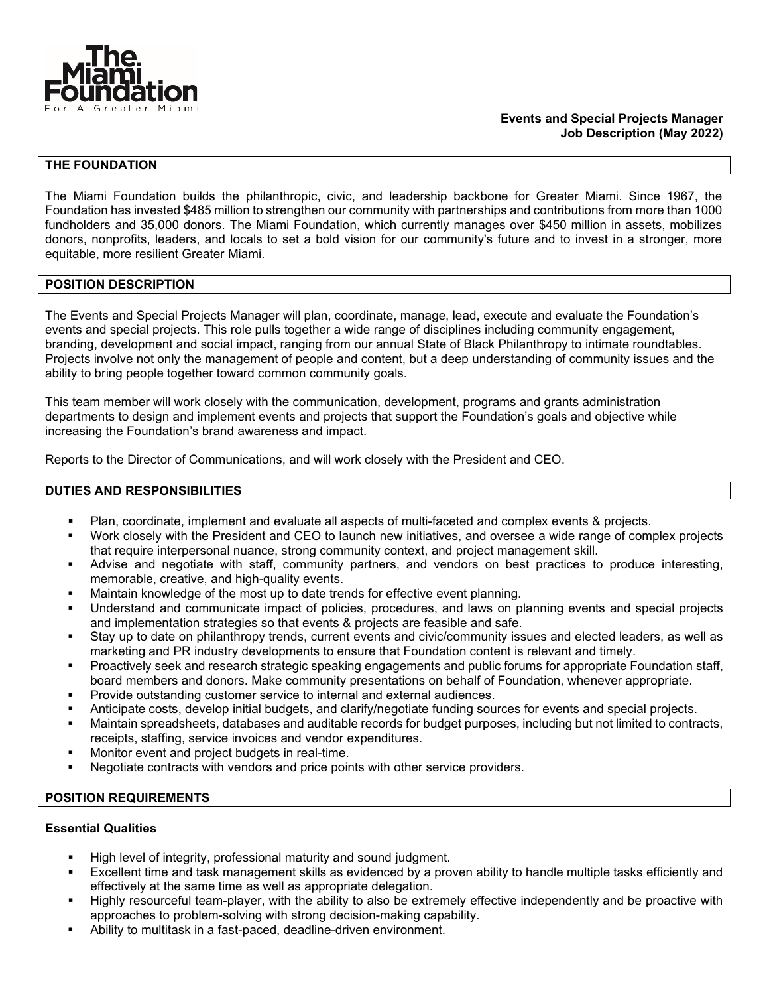

## **Events and Special Projects Manager Job Description (May 2022)**

# **THE FOUNDATION**

The Miami Foundation builds the philanthropic, civic, and leadership backbone for Greater Miami. Since 1967, the Foundation has invested \$485 million to strengthen our community with partnerships and contributions from more than 1000 fundholders and 35,000 donors. The Miami Foundation, which currently manages over \$450 million in assets, mobilizes donors, nonprofits, leaders, and locals to set a bold vision for our community's future and to invest in a stronger, more equitable, more resilient Greater Miami.

#### **POSITION DESCRIPTION**

The Events and Special Projects Manager will plan, coordinate, manage, lead, execute and evaluate the Foundation's events and special projects. This role pulls together a wide range of disciplines including community engagement, branding, development and social impact, ranging from our annual State of Black Philanthropy to intimate roundtables. Projects involve not only the management of people and content, but a deep understanding of community issues and the ability to bring people together toward common community goals.

This team member will work closely with the communication, development, programs and grants administration departments to design and implement events and projects that support the Foundation's goals and objective while increasing the Foundation's brand awareness and impact.

Reports to the Director of Communications, and will work closely with the President and CEO.

# **DUTIES AND RESPONSIBILITIES**

- Plan, coordinate, implement and evaluate all aspects of multi-faceted and complex events & projects.
- Work closely with the President and CEO to launch new initiatives, and oversee a wide range of complex projects that require interpersonal nuance, strong community context, and project management skill.
- Advise and negotiate with staff, community partners, and vendors on best practices to produce interesting, memorable, creative, and high-quality events.
- Maintain knowledge of the most up to date trends for effective event planning.
- Understand and communicate impact of policies, procedures, and laws on planning events and special projects and implementation strategies so that events & projects are feasible and safe.
- Stay up to date on philanthropy trends, current events and civic/community issues and elected leaders, as well as marketing and PR industry developments to ensure that Foundation content is relevant and timely.
- Proactively seek and research strategic speaking engagements and public forums for appropriate Foundation staff, board members and donors. Make community presentations on behalf of Foundation, whenever appropriate.
- Provide outstanding customer service to internal and external audiences.
- Anticipate costs, develop initial budgets, and clarify/negotiate funding sources for events and special projects.
- Maintain spreadsheets, databases and auditable records for budget purposes, including but not limited to contracts, receipts, staffing, service invoices and vendor expenditures.
- Monitor event and project budgets in real-time.
- Negotiate contracts with vendors and price points with other service providers.

### **POSITION REQUIREMENTS**

### **Essential Qualities**

- High level of integrity, professional maturity and sound judgment.
- Excellent time and task management skills as evidenced by a proven ability to handle multiple tasks efficiently and effectively at the same time as well as appropriate delegation.
- Highly resourceful team-player, with the ability to also be extremely effective independently and be proactive with approaches to problem-solving with strong decision-making capability.
- Ability to multitask in a fast-paced, deadline-driven environment.